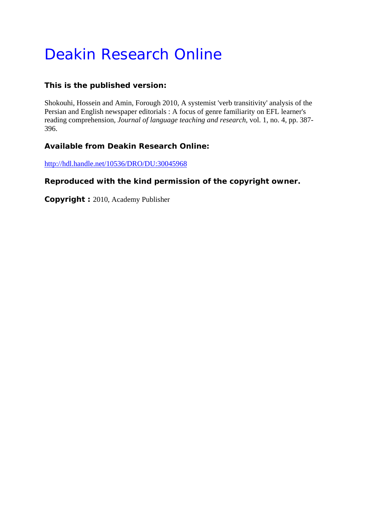# Deakin Research Online

# **This is the published version:**

Shokouhi, Hossein and Amin, Forough 2010, A systemist 'verb transitivity' analysis of the Persian and English newspaper editorials : A focus of genre familiarity on EFL learner's reading comprehension*, Journal of language teaching and research*, vol. 1, no. 4, pp. 387- 396.

# **Available from Deakin Research Online:**

http://hdl.handle.net/10536/DRO/DU:30045968

# **Reproduced with the kind permission of the copyright owner.**

**Copyright :** 2010, Academy Publisher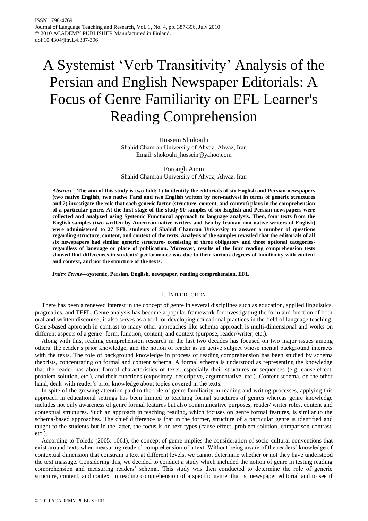# A Systemist "Verb Transitivity" Analysis of the Persian and English Newspaper Editorials: A Focus of Genre Familiarity on EFL Learner's Reading Comprehension

Hossein Shokouhi Shahid Chamran University of Ahvaz, Ahvaz, Iran Email: shokouhi\_hossein@yahoo.com

Forough Amin Shahid Chamran University of Ahvaz, Ahvaz, Iran

*Abstract***—The aim of this study is two-fold: 1) to identify the editorials of six English and Persian newspapers (two native English, two native Farsi and two English written by non-natives) in terms of generic structures and 2) investigate the role that each generic factor (structure, content, and context) plays in the comprehension of a particular genre. At the first stage of the study 90 samples of six English and Persian newspapers were collected and analyzed using Systemic Functional approach to language analysis. Then, four texts from the English samples (two written by American native writers and two by Iranian non-native writers of English) were administered to 27 EFL students of Shahid Chamran University to answer a number of questions regarding structure, content, and context of the texts. Analysis of the samples revealed that the editorials of all six newspapers had similar generic structure- consisting of three obligatory and three optional categoriesregardless of language or place of publication. Moreover, results of the four reading comprehension tests showed that differences in students' performance was due to their various degrees of familiarity with content and context, and not the structure of the texts.**

*Index Terms***—systemic, Persian, English, newspaper, reading comprehension, EFL**

## I. INTRODUCTION

There has been a renewed interest in the concept of genre in several disciplines such as education, applied linguistics, pragmatics, and TEFL. Genre analysis has become a popular framework for investigating the form and function of both oral and written discourse; it also serves as a tool for developing educational practices in the field of language teaching. Genre-based approach in contrast to many other approaches like schema approach is multi-dimensional and works on different aspects of a genre- form, function, content, and context (purpose, reader/writer, etc.).

Along with this, reading comprehension research in the last two decades has focused on two major issues among others: the reader"s prior knowledge, and the notion of reader as an active subject whose mental background interacts with the texts. The role of background knowledge in process of reading comprehension has been studied by schema theorists, concentrating on formal and content schema. A formal schema is understood as representing the knowledge that the reader has about formal characteristics of texts, especially their structures or sequences (e.g. cause-effect, problem-solution, etc.), and their functions (expository, descriptive, argumentative, etc.). Content schema, on the other hand, deals with reader's prior knowledge about topics covered in the texts.

In spite of the growing attention paid to the role of genre familiarity in reading and writing processes, applying this approach in educational settings has been limited to teaching formal structures of genres whereas genre knowledge includes not only awareness of genre formal features but also communicative purposes, reader/ writer roles, content and contextual structures. Such an approach in teaching reading, which focuses on genre formal features, is similar to the schema-based approaches. The chief difference is that in the former, structure of a particular genre is identified and taught to the students but in the latter, the focus is on text-types (cause-effect, problem-solution, comparison-contrast, etc.).

According to Toledo (2005: 1061), the concept of genre implies the consideration of socio-cultural conventions that exist around texts when measuring readers" comprehension of a text. Without being aware of the readers" knowledge of contextual dimension that constrain a text at different levels, we cannot determine whether or not they have understood the text massage. Considering this, we decided to conduct a study which included the notion of genre in testing reading comprehension and measuring readers" schema. This study was then conducted to determine the role of generic structure, content, and context in reading comprehension of a specific genre, that is, newspaper editorial and to see if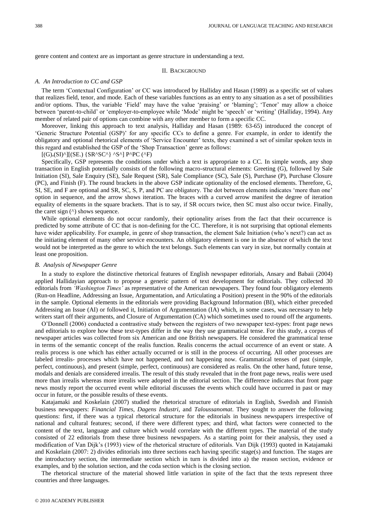genre content and context are as important as genre structure in understanding a text.

## II. BACKGROUND

## *A. An Introduction to CC and GSP*

The term "Contextual Configuration" or CC was introduced by Halliday and Hasan (1989) as a specific set of values that realizes field, tenor, and mode. Each of these variables functions as an entry to any situation as a set of possibilities and/or options. Thus, the variable 'Field' may have the value 'praising' or 'blaming'; 'Tenor' may allow a choice between "parent-to-child" or "employer-to-employee while "Mode" might be "speech" or "writing" (Halliday, 1994). Any member of related pair of options can combine with any other member to form a specific CC.

Moreover, linking this approach to text analysis, Halliday and Hasan (1989: 63-65) introduced the concept of "Generic Structure Potential (GSP)" for any specific CCs to define a genre. For example, in order to identify the obligatory and optional rhetorical elements of "Service Encounter" texts, they examined a set of similar spoken texts in this regard and established the GSP of the "Shop Transaction" genre as follows:

 $[(G)$ . $(SI)^{\wedge}$  $[(SE)$   $\{SR^{\wedge}SC^{\wedge}\}$  ^S^] P^PC (^F)

Specifically, GSP represents the conditions under which a text is appropriate to a CC. In simple words, any shop transaction in English potentially consists of the following macro-structural elements: Greeting (G), followed by Sale Initiation (SI), Sale Enquiry (SE), Sale Request (SR), Sale Compliance (SC), Sale (S), Purchase (P), Purchase Closure (PC), and Finish (F). The round brackets in the above GSP indicate optionality of the enclosed elements. Therefore, G, SI, SE, and F are optional and SR, SC, S, P, and PC are obligatory. The dot between elements indicates "more than one" option in sequence, and the arrow shows iteration. The braces with a curved arrow manifest the degree of iteration equality of elements in the square brackets. That is to say, if SR occurs twice, then SC must also occur twice. Finally, the caret sign  $(^{\wedge})$  shows sequence.

While optional elements do not occur randomly, their optionality arises from the fact that their occurrence is predicted by some attribute of CC that is non-defining for the CC. Therefore, it is not surprising that optional elements have wider applicability. For example, in genre of shop transaction, the element Sale Initiation (who's next?) can act as the initiating element of many other service encounters. An obligatory element is one in the absence of which the text would not be interpreted as the genre to which the text belongs. Such elements can vary in size, but normally contain at least one proposition.

#### *B. Analysis of Newspaper Genre*

In a study to explore the distinctive rhetorical features of English newspaper editorials, Ansary and Babaii (2004) applied Hallidayian approach to propose a generic pattern of text development for editorials. They collected 30 editorials from *'Washington Times'* as representative of the American newspapers. They found four obligatory elements (Run-on Headline, Addressing an Issue, Argumentation, and Articulating a Position) present in the 90% of the editorials in the sample. Optional elements in the editorials were providing Background Information (BI), which either preceded Addressing an Issue (AI) or followed it, Initiation of Argumentation (IA) which, in some cases, was necessary to help writers start off their arguments, and Closure of Argumentation (CA) which sometimes used to round off the arguments.

O"Donnell (2006) conducted a contrastive study between the registers of two newspaper text-types: front page news and editorials to explore how these text-types differ in the way they use grammatical tense. For this study, a corpus of newspaper articles was collected from six American and one British newspapers. He considered the grammatical tense in terms of the semantic concept of the realis function. Realis concerns the actual occurrence of an event or state. A realis process is one which has either actually occurred or is still in the process of occurring. All other processes are labeled irrealis- processes which have not happened, and not happening now. Grammatical tenses of past (simple, perfect, continuous), and present (simple, perfect, continuous) are considered as realis. On the other hand, future tense, modals and denials are considered irrealis. The result of this study revealed that in the front page news, realis were used more than irrealis whereas more irrealis were adopted in the editorial section. The difference indicates that front page news mostly report the occurred event while editorial discusses the events which could have occurred in past or may occur in future, or the possible results of these events.

Katajamaki and Koskelain (2007) studied the rhetorical structure of editorials in English, Swedish and Finnish business newspapers: *Financial Times*, *Dagens Industri*, and *Taloussanomat*. They sought to answer the following questions: first, if there was a typical rhetorical structure for the editorials in business newspapers irrespective of national and cultural features; second, if there were different types; and third, what factors were connected to the content of the text, language and culture which would correlate with the different types. The material of the study consisted of 22 editorials from these three business newspapers. As a starting point for their analysis, they used a modification of Van Dijk"s (1993) view of the rhetorical structure of editorials. Van Dijk (1993) quoted in Katajamaki and Koskelain (2007: 2) divides editorials into three sections each having specific stage(s) and function. The stages are the introductory section, the intermediate section which in turn is divided into a) the reason section, evidence or examples, and b) the solution section, and the coda section which is the closing section.

The rhetorical structure of the material showed little variation in spite of the fact that the texts represent three countries and three languages.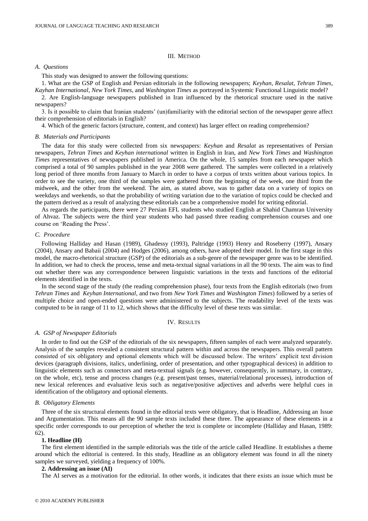# *A. Questions*

This study was designed to answer the following questions:

1. What are the GSP of English and Persian editorials in the following newspapers; *Keyhan*, *Resalat*, *Tehran Times*, *Kayhan International*, *New York Times*, and *Washington Times* as portrayed in Systemic Functional Linguistic model?

2. Are English-language newspapers published in Iran influenced by the rhetorical structure used in the native newspapers?

3. Is it possible to claim that Iranian students" (un)familiarity with the editorial section of the newspaper genre affect their comprehension of editorials in English?

4. Which of the generic factors (structure, content, and context) has larger effect on reading comprehension?

#### *B. Materials and Participants*

The data for this study were collected from six newspapers: *Keyhan* and *Resalat* as representatives of Persian newspapers, *Tehran Times* and *Keyhan international* written in English in Iran, and *New York Times* and *Washington Times* representatives of newspapers published in America. On the whole, 15 samples from each newspaper which comprised a total of 90 samples published in the year 2008 were gathered. The samples were collected in a relatively long period of three months from January to March in order to have a corpus of texts written about various topics. In order to see the variety, one third of the samples were gathered from the beginning of the week, one third from the midweek, and the other from the weekend. The aim, as stated above, was to gather data on a variety of topics on weekdays and weekends, so that the probability of writing variation due to the variation of topics could be checked and the pattern derived as a result of analyzing these editorials can be a comprehensive model for writing editorial.

As regards the participants, there were 27 Persian EFL students who studied English at Shahid Chamran University of Ahvaz. The subjects were the third year students who had passed three reading comprehension courses and one course on "Reading the Press".

# *C. Procedure*

Following Halliday and Hasan (1989), Ghadessy (1993), Paltridge (1993) Henry and Roseberry (1997), Ansary (2004), Ansary and Babaii (2004) and Hodges (2006), among others, have adopted their model. In the first stage in this model, the macro-rhetorical structure (GSP) of the editorials as a sub-genre of the newspaper genre was to be identified. In addition, we had to check the process, tense and meta-textual signal variations in all the 90 texts. The aim was to find out whether there was any correspondence between linguistic variations in the texts and functions of the editorial elements identified in the texts.

In the second stage of the study (the reading comprehension phase), four texts from the English editorials (two from *Tehran Times* and *Keyhan International*, and two from *New York Times* and *Washington Times*) followed by a series of multiple choice and open-ended questions were administered to the subjects. The readability level of the texts was computed to be in range of 11 to 12, which shows that the difficulty level of these texts was similar.

# IV. RESULTS

#### *A. GSP of Newspaper Editorials*

In order to find out the GSP of the editorials of the six newspapers, fifteen samples of each were analyzed separately. Analysis of the samples revealed a consistent structural pattern within and across the newspapers. This overall pattern consisted of six obligatory and optional elements which will be discussed below. The writers" explicit text division devices (paragraph divisions, italics, underlining, order of presentation, and other typographical devices) in addition to linguistic elements such as connectors and meta-textual signals (e.g. however, consequently, in summary, in contrary, on the whole, etc), tense and process changes (e.g. present/past tenses, material/relational processes), introduction of new lexical references and evaluative lexis such as negative/positive adjectives and adverbs were helpful cues in identification of the obligatory and optional elements.

# *B. Obligatory Elements*

Three of the six structural elements found in the editorial texts were obligatory, that is Headline, Addressing an Issue and Argumentation. This means all the 90 sample texts included these three. The appearance of these elements in a specific order corresponds to our perception of whether the text is complete or incomplete (Halliday and Hasan, 1989: 62).

#### **1. Headline (H)**

The first element identified in the sample editorials was the title of the article called Headline. It establishes a theme around which the editorial is centered. In this study, Headline as an obligatory element was found in all the ninety samples we surveyed, yielding a frequency of 100%.

## **2. Addressing an issue (AI)**

The AI serves as a motivation for the editorial. In other words, it indicates that there exists an issue which must be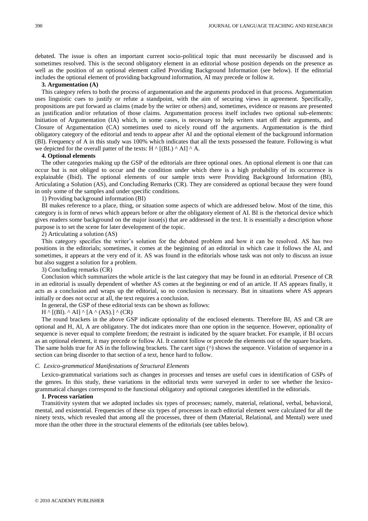debated. The issue is often an important current socio-political topic that must necessarily be discussed and is sometimes resolved. This is the second obligatory element in an editorial whose position depends on the presence as well as the position of an optional element called Providing Background Information (see below). If the editorial includes the optional element of providing background information, AI may precede or follow it.

# **3. Argumentation (A)**

This category refers to both the process of argumentation and the arguments produced in that process. Argumentation uses linguistic cues to justify or refute a standpoint, with the aim of securing views in agreement. Specifically, propositions are put forward as claims (made by the writer or others) and, sometimes, evidence or reasons are presented as justification and/or refutation of those claims. Argumentation process itself includes two optional sub-elements: Initiation of Argumentation (IA) which, in some cases, is necessary to help writers start off their arguments, and Closure of Argumentation (CA) sometimes used to nicely round off the arguments. Argumentation is the third obligatory category of the editorial and tends to appear after AI and the optional element of the background information (BI). Frequency of A in this study was 100% which indicates that all the texts possessed the feature. Following is what we depicted for the overall patter of the texts: H  $\land$  [(BI.)  $\land$  AI]  $\land$  A.

#### **4. Optional elements**

The other categories making up the GSP of the editorials are three optional ones. An optional element is one that can occur but is not obliged to occur and the condition under which there is a high probability of its occurrence is explainable (Ibid). The optional elements of our sample texts were Providing Background Information (BI), Articulating a Solution (AS), and Concluding Remarks (CR). They are considered as optional because they were found in only some of the samples and under specific conditions.

1) Providing background information (BI)

BI makes reference to a place, thing, or situation some aspects of which are addressed below. Most of the time, this category is in form of news which appears before or after the obligatory element of AI. BI is the rhetorical device which gives readers some background on the major issue(s) that are addressed in the text. It is essentially a description whose purpose is to set the scene for later development of the topic.

2) Articulating a solution (AS)

This category specifies the writer"s solution for the debated problem and how it can be resolved. AS has two positions in the editorials; sometimes, it comes at the beginning of an editorial in which case it follows the AI, and sometimes, it appears at the very end of it. AS was found in the editorials whose task was not only to discuss an issue but also suggest a solution for a problem.

3) Concluding remarks (CR)

Conclusion which summarizes the whole article is the last category that may be found in an editorial. Presence of CR in an editorial is usually dependent of whether AS comes at the beginning or end of an article. If AS appears finally, it acts as a conclusion and wraps up the editorial, so no conclusion is necessary. But in situations where AS appears initially or does not occur at all, the text requires a conclusion.

In general, the GSP of these editorial texts can be shown as follows:

 $H \wedge [(BI)$ .  $\wedge$  AI]  $\wedge$  [A  $\wedge$  (AS).]  $\wedge$  (CR)

The round brackets in the above GSP indicate optionality of the enclosed elements. Therefore BI, AS and CR are optional and H, AI, A are obligatory. The dot indicates more than one option in the sequence. However, optionality of sequence is never equal to complete freedom; the restraint is indicated by the square bracket. For example, if BI occurs as an optional element, it may precede or follow AI. It cannot follow or precede the elements out of the square brackets. The same holds true for AS in the following brackets. The caret sign ( $\land$ ) shows the sequence. Violation of sequence in a section can bring disorder to that section of a text, hence hard to follow.

#### *C. Lexico-grammatical Manifestations of Structural Elements*

Lexico-grammatical variations such as changes in processes and tenses are useful cues in identification of GSPs of the genres. In this study, these variations in the editorial texts were surveyed in order to see whether the lexicogrammatical changes correspond to the functional obligatory and optional categories identified in the editorials.

# **1. Process variation**

Transitivity system that we adopted includes six types of processes; namely, material, relational, verbal, behavioral, mental, and existential. Frequencies of these six types of processes in each editorial element were calculated for all the ninety texts, which revealed that among all the processes, three of them (Material, Relational, and Mental) were used more than the other three in the structural elements of the editorials (see tables below).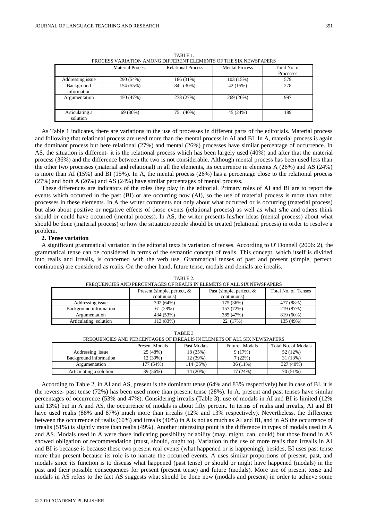| PROCESS VARIATION AMONG DIFFERENT ELEMENTS OF THE SIX NEWSPAPERS |                         |                           |                       |              |
|------------------------------------------------------------------|-------------------------|---------------------------|-----------------------|--------------|
|                                                                  | <b>Material Process</b> | <b>Relational Process</b> | <b>Mental Process</b> | Total No. of |
|                                                                  |                         |                           |                       | Processes    |
| Addressing issue                                                 | 290 (54%)               | 186 (31%)                 | 103 (15%)             | 579          |
| Background<br>information                                        | 154 (55%)               | $(30\%)$<br>84            | 42 (15%)              | 278          |
| Argumentation                                                    | 450 (47%)               | 278 (27%)                 | 269 (26%)             | 997          |
| Articulating a<br>solution                                       | 69 (36%)                | $(40\%)$<br>75            | 45 (24%)              | 189          |

TABLE 1. PROCESS VARIATION AMONG DIFFERENT ELEMENTS OF THE SIX NEWSPAPERS

As Table 1 indicates, there are variations in the use of processes in different parts of the editorials. Material process and following that relational process are used more than the mental process in AI and BI. In A, material process is again the dominant process but here relational (27%) and mental (26%) processes have similar percentage of occurrence. In AS, the situation is different- it is the relational process which has been largely used (40%) and after that the material process (36%) and the difference between the two is not considerable. Although mental process has been used less than the other two processes (material and relational) in all the elements, its occurrence in elements A (26%) and AS (24%) is more than AI (15%) and BI (15%). In A, the mental process  $(26%)$  has a percentage close to the relational process (27%) and both A (26%) and AS (24%) have similar percentages of mental process.

These differences are indicators of the roles they play in the editorial. Primary roles of AI and BI are to report the events which occurred in the past (BI) or are occurring now (AI), so the use of material process is more than other processes in these elements. In A the writer comments not only about what occurred or is occurring (material process) but also about positive or negative effects of those events (relational process) as well as what s/he and others think should or could have occurred (mental process). In AS, the writer presents his/her ideas (mental process) about what should be done (material process) or how the situation/people should be treated (relational process) in order to resolve a problem.

## **2. Tense variation**

A significant grammatical variation in the editorial texts is variation of tenses. According to O' Donnell (2006: 2), the grammatical tense can be considered in terms of the semantic concept of realis. This concept, which itself is divided into realis and irrealis, is concerned with the verb use. Grammatical tenses of past and present (simple, perfect, continuous) are considered as realis. On the other hand, future tense, modals and denials are irrealis.

| I'NEQUENCIES AND FENCENTAUES UP NEALIS IN ELEMETS UP ALL SIA NEWSFAFENS |                                |                             |                     |  |
|-------------------------------------------------------------------------|--------------------------------|-----------------------------|---------------------|--|
|                                                                         | Present (simple, perfect, $\&$ | Past (simple, perfect, $\&$ | Total No. of Tenses |  |
|                                                                         | continuous)                    | continuous)                 |                     |  |
| Addressing issue                                                        | 302(64%)                       | 175 (36%)                   | 477 (88%)           |  |
| Background information                                                  | 61(28%)                        | 157 (72%)                   | 219 (87%)           |  |
| Argumentation                                                           | 434 (53%)                      | 385 (47%)                   | 819 (60%)           |  |
| Articulating solution                                                   | 113 (83%)                      | 22 (17%)                    | 135 (49%)           |  |

TABLE 2. .<br>IN ELEMETS OF ALL SIX NEWSPAPERS

TABLE 3

| FREQUENCIES AND PERCENTAGES OF IRREALIS IN ELEMETS OF ALL SIX NEWSPAPERS |                |             |               |                     |  |
|--------------------------------------------------------------------------|----------------|-------------|---------------|---------------------|--|
|                                                                          | Present Modals | Past Modals | Future Modals | Total No. of Modals |  |
| Addressing issue                                                         | 25 (48%)       | 18 (35%)    | 9(17%)        | 52 (12%)            |  |
| Background information                                                   | 12(39%)        | 12 (39%)    | 7(22%)        | 31 (13%)            |  |
| Argumentation                                                            | 177 (54%)      | 114 (35%)   | $36(11\%)$    | 327 (40%)           |  |
| Articulating a solution                                                  | 39 (56%)       | 14 (20%)    | 17(24%)       | 70 (51%)            |  |

According to Table 2, in AI and AS, present is the dominant tense (64% and 83% respectively) but in case of BI, it is the reverse- past tense (72%) has been used more than present tense (28%). In A, present and past tenses have similar percentages of occurrence (53% and 47%). Considering irrealis (Table 3), use of modals in AI and BI is limited (12% and 13%) but in A and AS, the occurrence of modals is about fifty percent. In terms of realis and irrealis, AI and BI have used realis (88% and 87%) much more than irrealis (12% and 13% respectively). Nevertheless, the difference between the occurrence of realis (60%) and irrealis (40%) in A is not as much as AI and BI, and in AS the occurrence of irrealis (51%) is slightly more than realis (49%). Another interesting point is the difference in types of modals used in A and AS. Modals used in A were those indicating possibility or ability (may, might, can, could) but those found in AS showed obligation or recommendation (must, should, ought to). Variation in the use of more realis than irrealis in AI and BI is because is because these two present real events (what happened or is happening); besides, BI uses past tense more than present because its role is to narrate the occurred events. A uses similar proportions of present, past, and modals since its function is to discuss what happened (past tense) or should or might have happened (modals) in the past and their possible consequences for present (present tense) and future (modals). More use of present tense and modals in AS refers to the fact AS suggests what should be done now (modals and present) in order to achieve some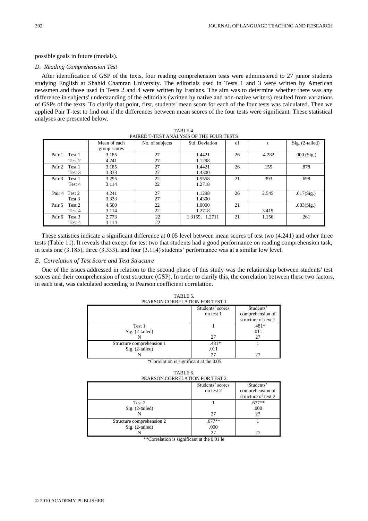## possible goals in future (modals).

# *D. Reading Comprehension Test*

After identification of GSP of the texts, four reading comprehension tests were administered to 27 junior students studying English at Shahid Chamran University. The editorials used in Tests 1 and 3 were written by American newsmen and those used in Tests 2 and 4 were written by Iranians. The aim was to determine whether there was any difference in subjects' understanding of the editorials (written by native and non-native writers) resulted from variations of GSPs of the texts. To clarify that point, first, students' mean score for each of the four tests was calculated. Then we applied Pair T-test to find out if the differences between mean scores of the four tests were significant. These statistical analyses are presented below.

| TAINED T-TEST ANALTSIS OF THE FOUN TESTS |              |                 |                |    |          |                   |
|------------------------------------------|--------------|-----------------|----------------|----|----------|-------------------|
|                                          | Mean of each | No. of subjects | Std. Deviation | df |          | $Sig. (2-tailed)$ |
|                                          | group scores |                 |                |    |          |                   |
| Pair 1<br>Test 1                         | 3.185        | 27              | 1.4421         | 26 | $-4.282$ | $.000$ (Sig.)     |
| Test 2                                   | 4.241        | 27              | 1.1298         |    |          |                   |
| Pair 2<br>Test 1                         | 3.185        | 27              | 1.4421         | 26 | .155     | .878              |
| Test 3                                   | 3.333        | 27              | 1.4300         |    |          |                   |
| Pair 3<br>Test 1                         | 3.295        | 22              | 1.5558         | 21 | .393     | .698              |
| Test 4                                   | 3.114        | 22              | 1.2718         |    |          |                   |
| Pair 4 Test 2                            | 4.241        | 27              | 1.1298         | 26 | 2.545    | .017(Sig.)        |
| Test 3                                   | 3.333        | 27              | 1.4300         |    |          |                   |
| Pair 5<br>Test 2                         | 4.500        | 22              | 1.0000         | 21 |          | .003(Sig.)        |
| Test 4                                   | 3.114        | 22              | 1.2718         |    | 3.419    |                   |
| Pair 6<br>Test 3                         | 2.773        | 22              | 1.3159, 1.2711 | 21 | 1.156    | .261              |
| Test 4                                   | 3.114        | 22              |                |    |          |                   |

| TABLE 4.                                 |
|------------------------------------------|
| PAIRED T-TEST ANALYSIS OF THE FOUR TESTS |
|                                          |

These statistics indicate a significant difference at 0.05 level between mean scores of test two (4.241) and other three tests (Table 11). It reveals that except for test two that students had a good performance on reading comprehension task, in tests one (3.185), three (3.333), and four (3.114) students" performance was at a similar low level.

# *E. Correlation of Test Score and Text Structure*

One of the issues addressed in relation to the second phase of this study was the relationship between students' test scores and their comprehension of text structure (GSP). In order to clarify this, the correlation between these two factors, in each test, was calculated according to Pearson coefficient correlation.

| PEARSON CORRELATION FOR TEST 1 |                  |                     |  |
|--------------------------------|------------------|---------------------|--|
|                                | Students' scores | Students'           |  |
|                                | on test 1        | comprehension of    |  |
|                                |                  | structure of text 1 |  |
| Test 1                         |                  | $.481*$             |  |
| $Sig. (2-tailed)$              |                  | .011                |  |
|                                | 27               | 27                  |  |
| Structure comprehension 1      | $.481*$          |                     |  |
| $Sig. (2-tailed)$              | .011             |                     |  |
|                                | 27               |                     |  |

TABLE 5. PEARSON CORRELATION FOR TEST 1

\*Correlation is significant at the 0.05

TABLE 6. PEARSON CORRELATION FOR TEST 2

|                                              | Students' scores<br>on test 2 | Students'<br>comprehension of<br>structure of text 2 |
|----------------------------------------------|-------------------------------|------------------------------------------------------|
| Test 2<br>$Sig. (2-tailed)$                  | 27                            | $.677**$<br>.000<br>27                               |
| Structure comprehension 2<br>Sig. (2-tailed) | $.677**$<br>.000<br>27        |                                                      |

\*\*Correlation is significant at the 0.01 le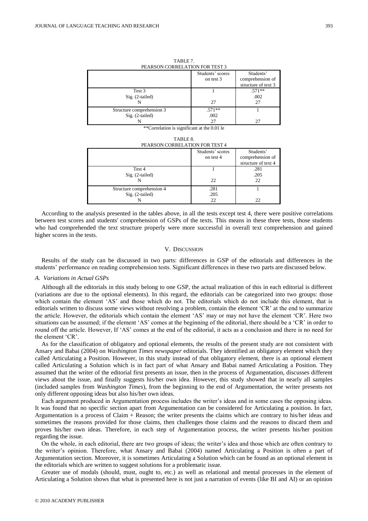| PEARSON CORRELATION FOR TEST 3 |                  |                     |  |
|--------------------------------|------------------|---------------------|--|
|                                | Students' scores | Students'           |  |
|                                | on test 3        | comprehension of    |  |
|                                |                  | structure of text 3 |  |
| Test 3                         |                  | $.571**$            |  |
| $Sig. (2-tailed)$              |                  | .002                |  |
|                                | 27               | 27                  |  |
| Structure comprehension 3      | $.571**$         |                     |  |
| $Sig. (2-tailed)$              | .002             |                     |  |
|                                | 27               | 27                  |  |

TABLE 7.

\*\*Correlation is significant at the 0.01 le

TABLE 8. PEARSON CORRELATION FOR TEST 4

|                           | Students' scores | Students'           |
|---------------------------|------------------|---------------------|
|                           | on test 4        | comprehension of    |
|                           |                  | structure of text 4 |
| Test 4                    |                  | .281                |
| $Sig. (2-tailed)$         |                  | .205                |
|                           | 22               | 22                  |
| Structure comprehension 4 | .281             |                     |
| $Sig. (2-tailed)$         | .205             |                     |
|                           | 22               | 22                  |

According to the analysis presented in the tables above, in all the tests except test 4, there were positive correlations between test scores and students' comprehension of GSPs of the texts. This means in these three tests, those students who had comprehended the text structure properly were more successful in overall text comprehension and gained higher scores in the tests.

# V. DISCUSSION

Results of the study can be discussed in two parts: differences in GSP of the editorials and differences in the students" performance on reading comprehension tests. Significant differences in these two parts are discussed below.

## *A. Variations in Actual GSPs*

Although all the editorials in this study belong to one GSP, the actual realization of this in each editorial is different (variations are due to the optional elements). In this regard, the editorials can be categorized into two groups: those which contain the element 'AS' and those which do not. The editorials which do not include this element, that is editorials written to discuss some views without resolving a problem, contain the element "CR" at the end to summarize the article. However, the editorials which contain the element "AS" may or may not have the element "CR". Here two situations can be assumed; if the element "AS" comes at the beginning of the editorial, there should be a "CR" in order to round off the article. However, If "AS" comes at the end of the editorial, it acts as a conclusion and there is no need for the element "CR".

As for the classification of obligatory and optional elements, the results of the present study are not consistent with Ansary and Babai (2004) on *Washington Times newspaper* editorials. They identified an obligatory element which they called Articulating a Position. However, in this study instead of that obligatory element, there is an optional element called Articulating a Solution which is in fact part of what Ansary and Babai named Articulating a Position. They assumed that the writer of the editorial first presents an issue, then in the process of Argumentation, discusses different views about the issue, and finally suggests his/her own idea. However, this study showed that in nearly all samples (included samples from *Washington Times*), from the beginning to the end of Argumentation, the writer presents not only different opposing ideas but also his/her own ideas.

Each argument produced in Argumentation process includes the writer"s ideas and in some cases the opposing ideas. It was found that no specific section apart from Argumentation can be considered for Articulating a position. In fact, Argumentation is a process of Claim + Reason; the writer presents the claims which are contrary to his/her ideas and sometimes the reasons provided for those claims, then challenges those claims and the reasons to discard them and proves his/her own ideas. Therefore, in each step of Argumentation process, the writer presents his/her position regarding the issue.

On the whole, in each editorial, there are two groups of ideas; the writer"s idea and those which are often contrary to the writer"s opinion. Therefore, what Ansary and Babai (2004) named Articulating a Position is often a part of Argumentation section. Moreover, it is sometimes Articulating a Solution which can be found as an optional element in the editorials which are written to suggest solutions for a problematic issue.

Greater use of modals (should, must, ought to, etc.) as well as relational and mental processes in the element of Articulating a Solution shows that what is presented here is not just a narration of events (like BI and AI) or an opinion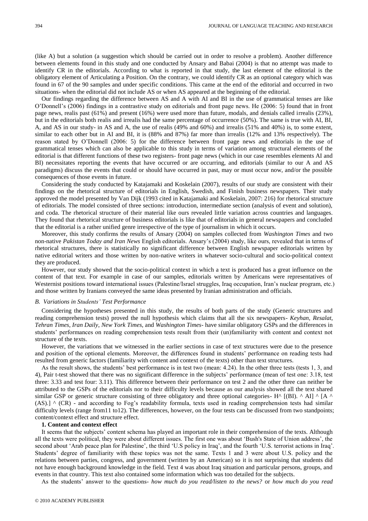(like A) but a solution (a suggestion which should be carried out in order to resolve a problem). Another difference between elements found in this study and one conducted by Ansary and Babai (2004) is that no attempt was made to identify CR in the editorials. According to what is reported in that study, the last element of the editorial is the obligatory element of Articulating a Position. On the contrary, we could identify CR as an optional category which was found in 67 of the 90 samples and under specific conditions. This came at the end of the editorial and occurred in two situations- when the editorial did not include AS or when AS appeared at the beginning of the editorial.

Our findings regarding the difference between AS and A with AI and BI in the use of grammatical tenses are like O"Donnell"s (2006) findings in a contrastive study on editorials and front page news. He (2006: 5) found that in front page news, realis past (61%) and present (16%) were used more than future, modals, and denials called irrealis (23%), but in the editorials both realis and irrealis had the same percentage of occurrence (50%). The same is true with AI, BI, A, and AS in our study- in AS and A, the use of realis (49% and 60%) and irrealis (51% and 40%) is, to some extent, similar to each other but in AI and BI, it is (88% and 87%) far more than irrealis (12% and 13% respectively). The reason stated by O"Donnell (2006: 5) for the difference between front page news and editorials in the use of grammatical tenses which can also be applicable to this study in terms of variation among structural elements of the editorial is that different functions of these two registers- front page news (which in our case resembles elements AI and BI) necessitates reporting the events that have occurred or are occurring, and editorials (similar to our A and AS paradigms) discuss the events that could or should have occurred in past, may or must occur now, and/or the possible consequences of those events in future.

Considering the study conducted by Katajamaki and Koskelain (2007), results of our study are consistent with their findings on the rhetorical structure of editorials in English, Swedish, and Finish business newspapers. Their study approved the model presented by Van Dijk (1993 cited in Katajamaki and Koskelain, 2007: 216) for rhetorical structure of editorials. The model consisted of three sections: introduction, intermediate section (analysis of event and solution), and coda. The rhetorical structure of their material like ours revealed little variation across countries and languages. They found that rhetorical structure of business editorials is like that of editorials in general newspapers and concluded that the editorial is a rather unified genre irrespective of the type of journalism in which it occurs.

Moreover, this study confirms the results of Ansary (2004) on samples collected from *Washington Times* and two non-native *Pakistan Today and Iran News* English editorials. Ansary"s (2004) study, like ours, revealed that in terms of rhetorical structures, there is statistically no significant difference between English newspaper editorials written by native editorial writers and those written by non-native writers in whatever socio-cultural and socio-political context they are produced.

However, our study showed that the socio-political context in which a text is produced has a great influence on the content of that text. For example in case of our samples, editorials written by Americans were representatives of Westernist positions toward international issues (Palestine/Israel struggles, Iraq occupation, Iran's nuclear program, etc.) and those written by Iranians conveyed the same ideas presented by Iranian administration and officials.

#### *B. Variations in Students' Test Performance*

Considering the hypotheses presented in this study, the results of both parts of the study (Generic structures and reading comprehension tests) proved the null hypothesis which claims that all the six newspapers- *Keyhan*, *Resalat*, *Tehran Times*, *Iran Daily*, *New York Times*, and *Washington Times*- have similar obligatory GSPs and the differences in students" performances on reading comprehension tests result from their (un)familiarity with content and context not structure of the texts.

However, the variations that we witnessed in the earlier sections in case of text structures were due to the presence and position of the optional elements. Moreover, the differences found in students" performance on reading tests had resulted from generic factors (familiarity with content and context of the texts) other than text structures.

As the result shows, the students" best performance is in test two (mean: 4.24). In the other three tests (tests 1, 3, and 4), Pair t-test showed that there was no significant difference in the subjects" performance (mean of test one: 3.18, test three: 3.33 and test four: 3.11). This difference between their performance on test 2 and the other three can neither be attributed to the GSPs of the editorials nor to their difficulty levels because as our analysis showed all the text shared similar GSP or generic structure consisting of three obligatory and three optional categories- H^ [(BI). ^ AI] ^ [A ^ (AS).] ^ (CR) - and according to Fog"s readability formula, texts used in reading comprehension tests had similar difficulty levels (range from11 to12). The differences, however, on the four tests can be discussed from two standpoints; content/context effect and structure effect.

#### **1. Content and context effect**

It seems that the subjects" content schema has played an important role in their comprehension of the texts. Although all the texts were political, they were about different issues. The first one was about "Bush's State of Union address", the second about 'Arab peace plan for Palestine', the third 'U.S policy in Iraq', and the fourth 'U.S. terrorist actions in Iraq'. Students" degree of familiarity with these topics was not the same. Texts 1 and 3 were about U.S. policy and the relations between parties, congress, and government (written by an American) so it is not surprising that students did not have enough background knowledge in the field. Text 4 was about Iraq situation and particular persons, groups, and events in that country. This text also contained some information which was too detailed for the subjects.

As the students" answer to the questions- *how much do you read/listen to the news?* or *how much do you read*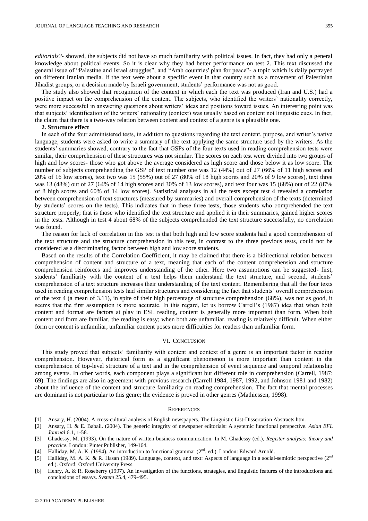*editorials?*- showed, the subjects did not have so much familiarity with political issues. In fact, they had only a general knowledge about political events. So it is clear why they had better performance on test 2. This text discussed the general issue of "Palestine and Israel struggles", and "Arab countries' plan for peace"- a topic which is daily portrayed on different Iranian media. If the text were about a specific event in that country such as a movement of Palestinian Jihadist groups, or a decision made by Israeli government, students" performance was not as good.

The study also showed that recognition of the context in which each the text was produced (Iran and U.S.) had a positive impact on the comprehension of the content. The subjects, who identified the writers" nationality correctly, were more successful in answering questions about writers" ideas and positions toward issues. An interesting point was that subjects" identification of the writers" nationality (context) was usually based on content not linguistic cues. In fact, the claim that there is a two-way relation between content and context of a genre is a plausible one.

# **2. Structure effect**

In each of the four administered tests, in addition to questions regarding the text content, purpose, and writer"s native language, students were asked to write a summary of the text applying the same structure used by the writers. As the students' summaries showed, contrary to the fact that GSPs of the four texts used in reading comprehension tests were similar, their comprehension of these structures was not similar. The scores on each test were divided into two groups of high and low scores- those who got above the average considered as high score and those below it as low score. The number of subjects comprehending the GSP of text number one was 12 (44%) out of 27 (66% of 11 high scores and 20% of 16 low scores), text two was 15 (55%) out of 27 (80% of 18 high scores and 20% of 9 low scores), text three was 13 (48%) out of 27 (64% of 14 high scores and 30% of 13 low scores), and text four was 15 (68%) out of 22 (87% of 8 high scores and 60% of 14 low scores). Statistical analyses in all the tests except test 4 revealed a correlation between comprehension of text structures (measured by summaries) and overall comprehension of the texts (determined by students" scores on the tests). This indicates that in these three tests, those students who comprehended the text structure properly; that is those who identified the text structure and applied it in their summaries, gained higher scores in the tests. Although in test 4 about 68% of the subjects comprehended the text structure successfully, no correlation was found.

The reason for lack of correlation in this test is that both high and low score students had a good comprehension of the text structure and the structure comprehension in this test, in contrast to the three previous tests, could not be considered as a discriminating factor between high and low score students.

Based on the results of the Correlation Coefficient, it may be claimed that there is a bidirectional relation between comprehension of content and structure of a text, meaning that each of the content comprehension and structure comprehension reinforces and improves understanding of the other. Here two assumptions can be suggested- first, students' familiarity with the content of a text helps them understand the text structure, and second, students' comprehension of a text structure increases their understanding of the text content. Remembering that all the four texts used in reading comprehension tests had similar structures and considering the fact that students" overall comprehension of the text 4 (a mean of 3.11), in spite of their high percentage of structure comprehension (68%), was not as good, it seems that the first assumption is more accurate. In this regard, let us borrow Carrell"s (1987) idea that when both content and format are factors at play in ESL reading, content is generally more important than form. When both content and form are familiar, the reading is easy; when both are unfamiliar, reading is relatively difficult. When either form or content is unfamiliar, unfamiliar content poses more difficulties for readers than unfamiliar form.

# VI. CONCLUSION

This study proved that subjects" familiarity with content and context of a genre is an important factor in reading comprehension. However, rhetorical form as a significant phenomenon is more important than content in the comprehension of top-level structure of a text and in the comprehension of event sequence and temporal relationship among events. In other words, each component plays a significant but different role in comprehension (Carrell, 1987: 69). The findings are also in agreement with previous research (Carrell 1984, 1987, 1992, and Johnson 1981 and 1982) about the influence of the content and structure familiarity on reading comprehension. The fact that mental processes are dominant is not particular to this genre; the evidence is proved in other genres (Mathiessen, 1998).

#### **REFERENCES**

- [1] Ansary, H. (2004). A cross-cultural analysis of English newspapers. The Linguistic List-Dissertation Abstracts.htm.
- [2] Ansary, H. & E. Babaii. (2004). The generic integrity of newspaper editorials: A systemic functional perspective*. Asian EFL Journal* 6.1, 1-58.
- [3] Ghadessy, M. (1993). On the nature of written business communication. In M. Ghadessy (ed.), *Register analysis: theory and practice*. London: Pinter Publisher, 149-164.
- [4] Halliday, M. A. K. (1994). An introduction to functional grammar (2<sup>nd</sup>. ed.). London: Edward Arnold.
- [4] Halliday, M. A. K. (1994). An introduction to functional grammar ( $2^{\pi a}$ . ed.). London: Edward Arnold.<br>[5] Halliday, M. A. K. & R. Hasan (1989). Language, context, and text: Aspects of language in a social-semiotic ed.). Oxford: Oxford University Press.
- [6] Henry, A. & R. Roseberry (1997). An investigation of the functions, strategies, and linguistic features of the introductions and conclusions of essays. *System* 25.4, 479-495.